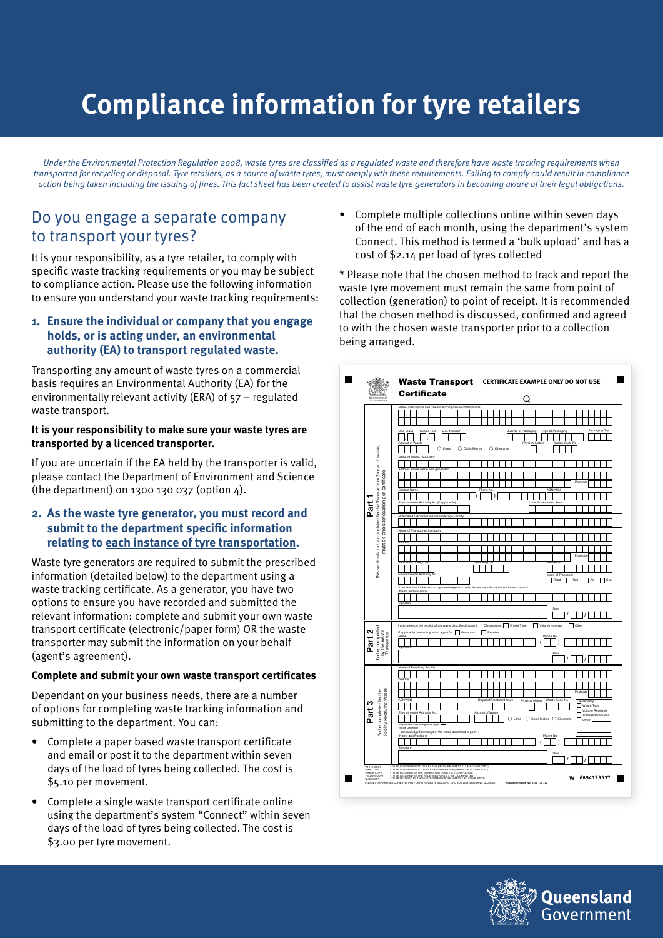# **Compliance information for tyre retailers**

Under the Environmental Protection Regulation 2008, waste tyres are classified as a regulated waste and therefore have waste tracking requirements when transported for recycling or disposal. Tyre retailers, as a source of waste tyres, must comply wth these requirements. Failing to comply could result in compliance action being taken including the issuing of fines. This fact sheet has been created to assist waste tyre generators in becoming aware of their legal obligations.

## Do you engage a separate company to transport your tyres?

It is your responsibility, as a tyre retailer, to comply with specific waste tracking requirements or you may be subject to compliance action. Please use the following information to ensure you understand your waste tracking requirements:

#### **1. Ensure the individual or company that you engage holds, or is acting under, an environmental authority (EA) to transport regulated waste.**

Transporting any amount of waste tyres on a commercial basis requires an Environmental Authority (EA) for the environmentally relevant activity (ERA) of 57 – regulated waste transport.

#### **It is your responsibility to make sure your waste tyres are transported by a licenced transporter.**

If you are uncertain if the EA held by the transporter is valid, please contact the Department of Environment and Science (the department) on 1300 130 037 (option 4).

#### **2. As the waste tyre generator, you must record and submit to the department specific information relating to each instance of tyre transportation.**

Waste tyre generators are required to submit the prescribed information (detailed below) to the department using a waste tracking certificate. As a generator, you have two options to ensure you have recorded and submitted the relevant information: complete and submit your own waste transport certificate (electronic/paper form) OR the waste transporter may submit the information on your behalf (agent's agreement).

#### **Complete and submit your own waste transport certificates**

Dependant on your business needs, there are a number of options for completing waste tracking information and submitting to the department. You can:

- Complete a paper based waste transport certificate and email or post it to the department within seven days of the load of tyres being collected. The cost is \$5.10 per movement.
- Complete a single waste transport certificate online using the department's system "Connect" within seven days of the load of tyres being collected. The cost is \$3.00 per tyre movement.

• Complete multiple collections online within seven days of the end of each month, using the department's system Connect. This method is termed a 'bulk upload' and has a cost of \$2.14 per load of tyres collected

\* Please note that the chosen method to track and report the waste tyre movement must remain the same from point of collection (generation) to point of receipt. It is recommended that the chosen method is discussed, confirmed and agreed to with the chosen waste transporter prior to a collection being arranged.